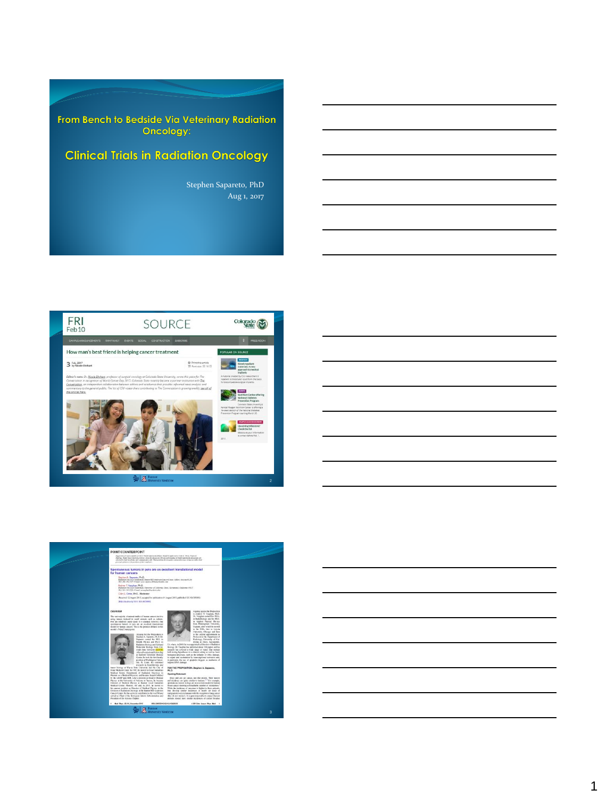From Bench to Bedside Via Veterinary Radiation<br>Oncology:

# **Clinical Trials in Radiation Oncology**

Stephen Sapareto, PhD Aug 1, 2017







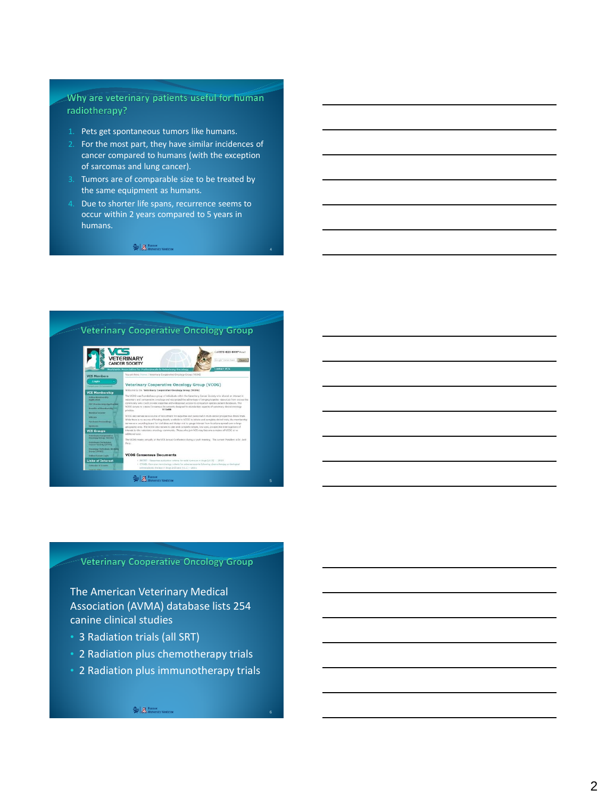## Why are veterinary patients useful for human radiotherapy?

- 1. Pets get spontaneous tumors like humans.
- 2. For the most part, they have similar incidences of cancer compared to humans (with the exception of sarcomas and lung cancer).
- 3. Tumors are of comparable size to be treated by the same equipment as humans.
- 4. Due to shorter life spans, recurrence seems to occur within 2 years compared to 5 years in humans.

4

 $\approx$   $\mathbb{R}$  Banner<br>Medicine



**Veterinary Cooperative Oncology Group** 

The American Veterinary Medical Association (AVMA) database lists 254 canine clinical studies

- 3 Radiation trials (all SRT)
- 2 Radiation plus chemotherapy trials
- 2 Radiation plus immunotherapy trials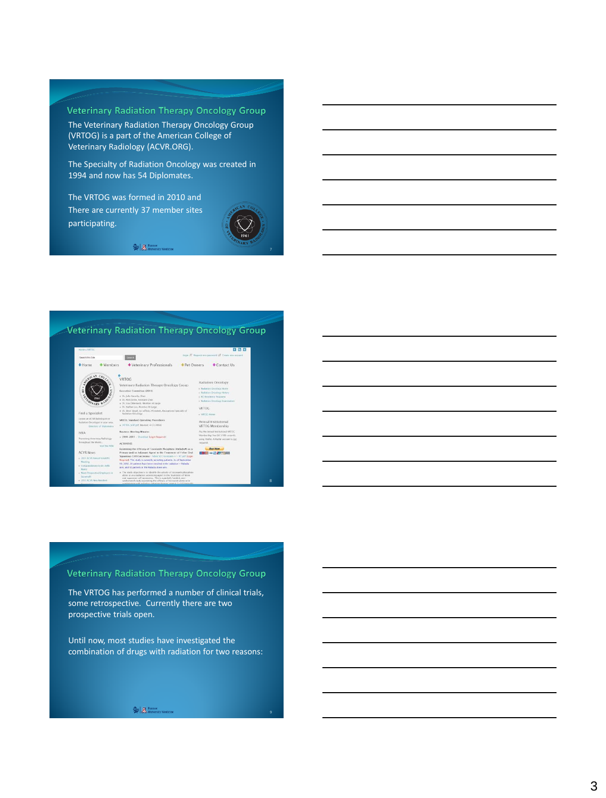### **Veterinary Radiation Therapy Oncology Group**

The Veterinary Radiation Therapy Oncology Group (VRTOG) is a part of the American College of Veterinary Radiology (ACVR.ORG).

The Specialty of Radiation Oncology was created in 1994 and now has 54 Diplomates.

The VRTOG was formed in 2010 and There are currently 37 member sites participating.



7

8

 $\approx$   $\mathbb{R}$  Banner<br>Medicine

# **Veterinary Radiation Therapy Oncology Group**



## **Veterinary Radiation Therapy Oncology Group**

The VRTOG has performed a number of clinical trials, some retrospective. Currently there are two prospective trials open.

Until now, most studies have investigated the combination of drugs with radiation for two reasons: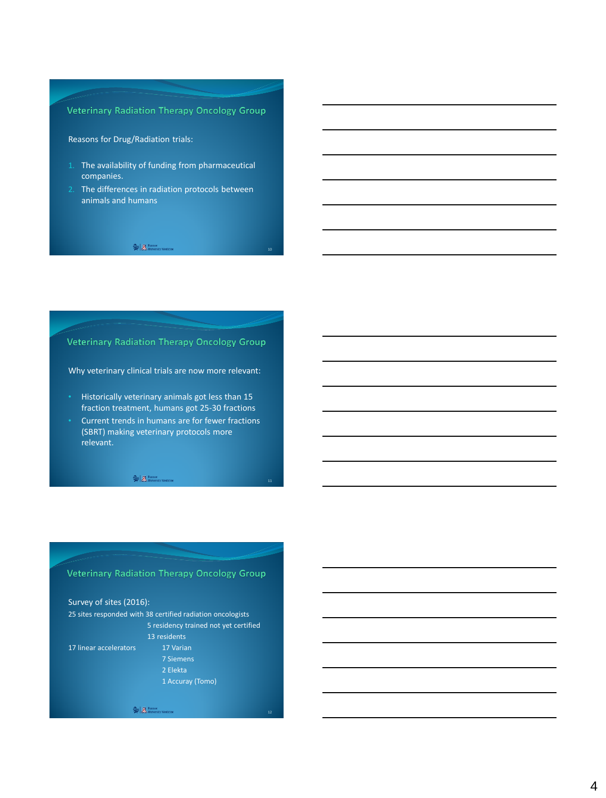### **Veterinary Radiation Therapy Oncology Group**

### Reasons for Drug/Radiation trials:

- 1. The availability of funding from pharmaceutical companies.
- 2. The differences in radiation protocols between animals and humans

10

#### $\approx$   $\mathbb{R}$ , Banner<br>M. University Medicine

### **Veterinary Radiation Therapy Oncology Group**

Why veterinary clinical trials are now more relevant:

- Historically veterinary animals got less than 15 fraction treatment, humans got 25-30 fractions
- Current trends in humans are for fewer fractions (SBRT) making veterinary protocols more relevant.

 $\qquad \qquad \Longleftrightarrow \qquad \qquad \overline{\mathbb{R}}\text{.}$  Banner<br>  $\qquad \qquad \qquad \text{H. University Medicine}$ 

### **Veterinary Radiation Therapy Oncology Group**

Survey of sites (2016): 25 sites responded with 38 certified radiation oncologists 5 residency trained not yet certified 13 residents 17 linear accelerators 17 Varian 2 Elekta

 $\widehat{\mathbf{\widehat{\gg}}} \Bigm| \underline{I\! \! \mathbf{A}}.$  Banner<br>  $\text{University Medicine}$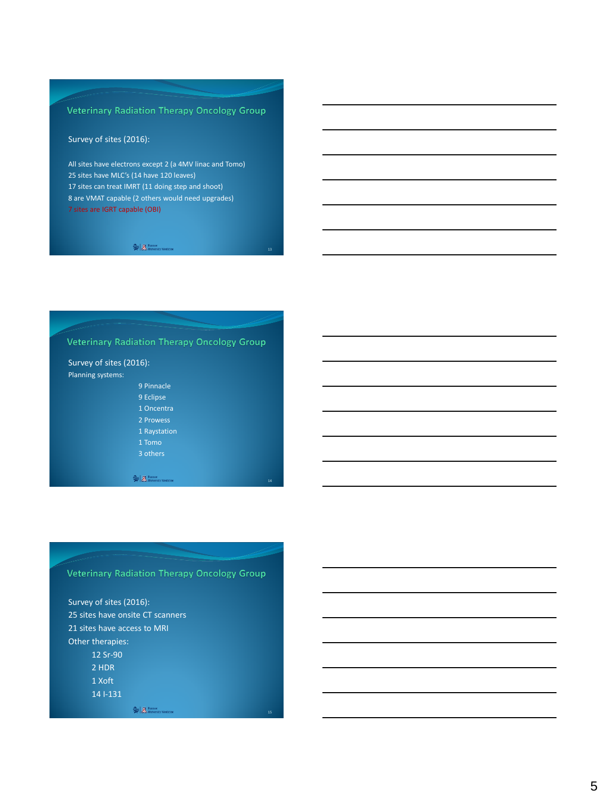# Veterinary Radiation Therapy Oncology Group

### Survey of sites (2016):

All sites have electrons except 2 (a 4MV linac and Tomo) 25 sites have MLC's (14 have 120 leaves) 17 sites can treat IMRT (11 doing step and shoot) 8 are VMAT capable (2 others would need upgrades) 7 sites are IGRT capable (OBI)

#### $\approx$   $\mathbb{R}$  Banner<br>Medicine

### **Veterinary Radiation Therapy Oncology Group**

#### Survey of sites (2016): Planning systems:

- 9 Pinnacle
- 9 Eclipse
- 1 Oncentra
- 2 Prowess
- 1 Raystation
- 
- 

 $\widehat{\textbf{R}} \mid \widehat{\textbf{R}} \text{. University Medicine}$ 

### **Veterinary Radiation Therapy Oncology Group**

Survey of sites (2016): 25 sites have onsite CT scanners 21 sites have access to MRI Other therapies:

- 12 Sr-90
- 2 HDR
- 1 Xoft 14 I-131

 $\Rightarrow$   $\mathbb{Z}$ . Banner